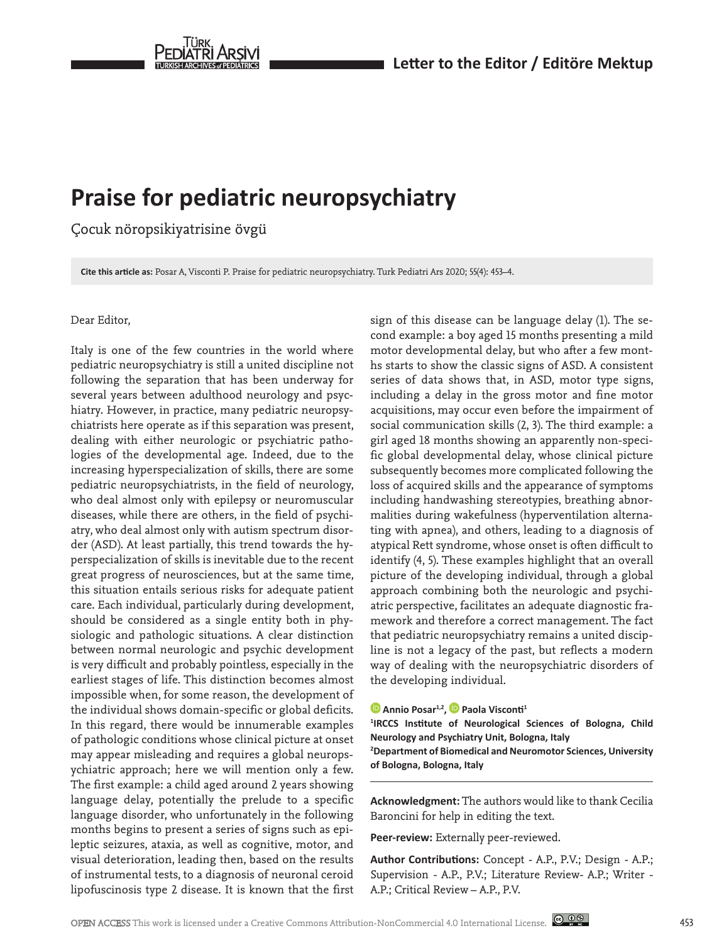

# **Praise for pediatric neuropsychiatry**

Çocuk nöropsikiyatrisine övgü

**Cite this article as:** Posar A, Visconti P. Praise for pediatric neuropsychiatry. Turk Pediatri Ars 2020; 55(4): 453–4.

## Dear Editor,

Italy is one of the few countries in the world where pediatric neuropsychiatry is still a united discipline not following the separation that has been underway for several years between adulthood neurology and psychiatry. However, in practice, many pediatric neuropsychiatrists here operate as if this separation was present, dealing with either neurologic or psychiatric pathologies of the developmental age. Indeed, due to the increasing hyperspecialization of skills, there are some pediatric neuropsychiatrists, in the field of neurology, who deal almost only with epilepsy or neuromuscular diseases, while there are others, in the field of psychiatry, who deal almost only with autism spectrum disorder (ASD). At least partially, this trend towards the hyperspecialization of skills is inevitable due to the recent great progress of neurosciences, but at the same time, this situation entails serious risks for adequate patient care. Each individual, particularly during development, should be considered as a single entity both in physiologic and pathologic situations. A clear distinction between normal neurologic and psychic development is very difficult and probably pointless, especially in the earliest stages of life. This distinction becomes almost impossible when, for some reason, the development of the individual shows domain-specific or global deficits. In this regard, there would be innumerable examples of pathologic conditions whose clinical picture at onset may appear misleading and requires a global neuropsychiatric approach; here we will mention only a few. The first example: a child aged around 2 years showing language delay, potentially the prelude to a specific language disorder, who unfortunately in the following months begins to present a series of signs such as epileptic seizures, ataxia, as well as cognitive, motor, and visual deterioration, leading then, based on the results of instrumental tests, to a diagnosis of neuronal ceroid lipofuscinosis type 2 disease. It is known that the first

sign of this disease can be language delay (1). The second example: a boy aged 15 months presenting a mild motor developmental delay, but who after a few months starts to show the classic signs of ASD. A consistent series of data shows that, in ASD, motor type signs, including a delay in the gross motor and fine motor acquisitions, may occur even before the impairment of social communication skills (2, 3). The third example: a girl aged 18 months showing an apparently non-specific global developmental delay, whose clinical picture subsequently becomes more complicated following the loss of acquired skills and the appearance of symptoms including handwashing stereotypies, breathing abnormalities during wakefulness (hyperventilation alternating with apnea), and others, leading to a diagnosis of atypical Rett syndrome, whose onset is often difficult to identify (4, 5). These examples highlight that an overall picture of the developing individual, through a global approach combining both the neurologic and psychiatric perspective, facilitates an adequate diagnostic framework and therefore a correct management. The fact that pediatric neuropsychiatry remains a united discipline is not a legacy of the past, but reflects a modern way of dealing with the neuropsychiatric disorders of the developing individual.

#### **D** Annio Posar<sup>1,2</sup>, **D** Paola Visconti<sup>1</sup>

**1 IRCCS Institute of Neurological Sciences of Bologna, Child Neurology and Psychiatry Unit, Bologna, Italy 2 Department of Biomedical and Neuromotor Sciences, University** 

**of Bologna, Bologna, Italy**

**Acknowledgment:** The authors would like to thank Cecilia Baroncini for help in editing the text.

**Peer-review:** Externally peer-reviewed.

**Author Contributions:** Concept - A.P., P.V.; Design - A.P.; Supervision - A.P., P.V.; Literature Review- A.P.; Writer - A.P.; Critical Review – A.P., P.V.